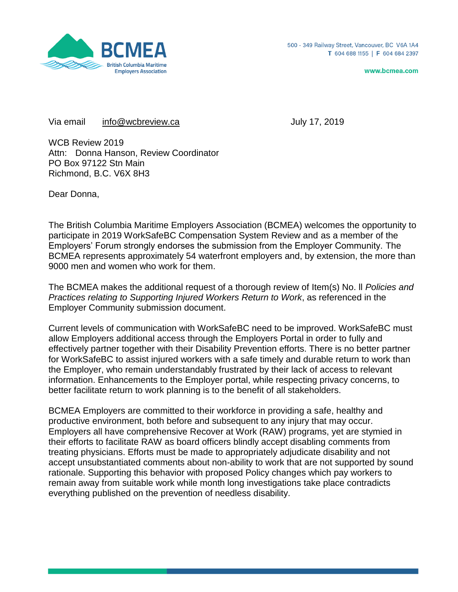

www.bcmea.com

Via email [info@wcbreview.ca](mailto:info@wcbreview.ca) and the control of the Uuly 17, 2019

WCB Review 2019 Attn: Donna Hanson, Review Coordinator PO Box 97122 Stn Main Richmond, B.C. V6X 8H3

Dear Donna,

The British Columbia Maritime Employers Association (BCMEA) welcomes the opportunity to participate in 2019 WorkSafeBC Compensation System Review and as a member of the Employers' Forum strongly endorses the submission from the Employer Community. The BCMEA represents approximately 54 waterfront employers and, by extension, the more than 9000 men and women who work for them.

The BCMEA makes the additional request of a thorough review of Item(s) No. ll *Policies and Practices relating to Supporting Injured Workers Return to Work*, as referenced in the Employer Community submission document.

Current levels of communication with WorkSafeBC need to be improved. WorkSafeBC must allow Employers additional access through the Employers Portal in order to fully and effectively partner together with their Disability Prevention efforts. There is no better partner for WorkSafeBC to assist injured workers with a safe timely and durable return to work than the Employer, who remain understandably frustrated by their lack of access to relevant information. Enhancements to the Employer portal, while respecting privacy concerns, to better facilitate return to work planning is to the benefit of all stakeholders.

BCMEA Employers are committed to their workforce in providing a safe, healthy and productive environment, both before and subsequent to any injury that may occur. Employers all have comprehensive Recover at Work (RAW) programs, yet are stymied in their efforts to facilitate RAW as board officers blindly accept disabling comments from treating physicians. Efforts must be made to appropriately adjudicate disability and not accept unsubstantiated comments about non-ability to work that are not supported by sound rationale. Supporting this behavior with proposed Policy changes which pay workers to remain away from suitable work while month long investigations take place contradicts everything published on the prevention of needless disability.